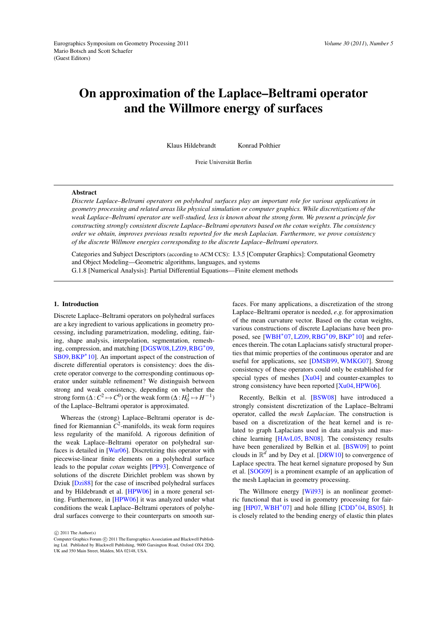# <span id="page-0-0"></span>On approximation of the Laplace–Beltrami operator and the Willmore energy of surfaces

Klaus Hildebrandt Konrad Polthier

Freie Universität Berlin

## Abstract

*Discrete Laplace–Beltrami operators on polyhedral surfaces play an important role for various applications in geometry processing and related areas like physical simulation or computer graphics. While discretizations of the weak Laplace–Beltrami operator are well-studied, less is known about the strong form. We present a principle for constructing strongly consistent discrete Laplace–Beltrami operators based on the cotan weights. The consistency order we obtain, improves previous results reported for the mesh Laplacian. Furthermore, we prove consistency of the discrete Willmore energies corresponding to the discrete Laplace–Beltrami operators.*

Categories and Subject Descriptors (according to ACM CCS): I.3.5 [Computer Graphics]: Computational Geometry and Object Modeling—Geometric algorithms, languages, and systems

G.1.8 [Numerical Analysis]: Partial Differential Equations—Finite element methods

### 1. Introduction

Discrete Laplace–Beltrami operators on polyhedral surfaces are a key ingredient to various applications in geometry processing, including parametrization, modeling, editing, fairing, shape analysis, interpolation, segmentation, remeshing, compression, and matching [\[DGSW08,](#page-6-0)[LZ09,](#page-7-0)[RBG](#page-7-1)<sup>∗</sup> 09, [SB09,](#page-7-2)[BKP](#page-6-1)<sup>∗</sup> 10]. An important aspect of the construction of discrete differential operators is consistency: does the discrete operator converge to the corresponding continuous operator under suitable refinement? We distinguish between strong and weak consistency, depending on whether the strong form ( $\Delta: C^2 \mapsto C^0$ ) or the weak form ( $\Delta: H_0^1 \mapsto H^{-1}$ ) of the Laplace–Beltrami operator is approximated.

Whereas the (strong) Laplace–Beltrami operator is defined for Riemannian  $\overline{C}^2$ -manifolds, its weak form requires less regularity of the manifold. A rigorous definition of the weak Laplace–Beltrami operator on polyhedral surfaces is detailed in [\[War06\]](#page-7-3). Discretizing this operator with piecewise-linear finite elements on a polyhedral surface leads to the popular *cotan* weights [\[PP93\]](#page-7-4). Convergence of solutions of the discrete Dirichlet problem was shown by Dziuk [\[Dzi88\]](#page-7-5) for the case of inscribed polyhedral surfaces and by Hildebrandt et al. [\[HPW06\]](#page-7-6) in a more general setting. Furthermore, in [\[HPW06\]](#page-7-6) it was analyzed under what conditions the weak Laplace–Beltrami operators of polyhedral surfaces converge to their counterparts on smooth sur-

 $\odot$  2011 The Author(s)

faces. For many applications, a discretization of the strong Laplace–Beltrami operator is needed, *e.g.* for approximation of the mean curvature vector. Based on the cotan weights, various constructions of discrete Laplacians have been pro-posed, see [\[WBH](#page-7-7)<sup>\*</sup>07, [LZ09,](#page-7-0) [RBG](#page-7-1)<sup>\*</sup>09, [BKP](#page-6-1)<sup>\*</sup>10] and references therein. The cotan Laplacians satisfy structural properties that mimic properties of the continuous operator and are useful for applications, see [\[DMSB99,](#page-6-2) [WMKG07\]](#page-7-8). Strong consistency of these operators could only be established for special types of meshes  $[Xu04]$  and counter-examples to strong consistency have been reported [\[Xu04,](#page-7-9) [HPW06\]](#page-7-6).

Recently, Belkin et al. [\[BSW08\]](#page-6-3) have introduced a strongly consistent discretization of the Laplace–Beltrami operator, called the *mesh Laplacian*. The construction is based on a discretization of the heat kernel and is related to graph Laplacians used in data analysis and maschine learning [\[HAvL05,](#page-7-10) [BN08\]](#page-6-4). The consistency results have been generalized by Belkin et al. [\[BSW09\]](#page-6-5) to point clouds in  $\mathbb{R}^d$  and by Dey et al. [\[DRW10\]](#page-7-11) to convergence of Laplace spectra. The heat kernel signature proposed by Sun et al. [\[SOG09\]](#page-7-12) is a prominent example of an application of the mesh Laplacian in geometry processing.

The Willmore energy [\[Wil93\]](#page-7-13) is an nonlinear geometric functional that is used in geometry processing for fair-ing [\[HP07,](#page-7-14) [WBH](#page-7-7)<sup>\*</sup>07] and hole filling [\[CDD](#page-6-6)<sup>\*</sup>04, [BS05\]](#page-6-7). It is closely related to the bending energy of elastic thin plates

Computer Graphics Forum  $\odot$  2011 The Eurographics Association and Blackwell Publishing Ltd. Published by Blackwell Publishing, 9600 Garsington Road, Oxford OX4 2DQ, UK and 350 Main Street, Malden, MA 02148, USA.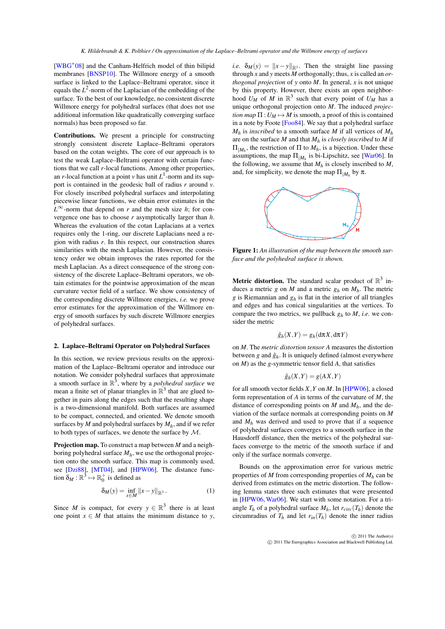<span id="page-1-0"></span>[\[WBG](#page-7-15)<sup>\*08</sup>] and the Canham-Helfrich model of thin bilipid membranes [\[BNSP10\]](#page-6-8). The Willmore energy of a smooth surface is linked to the Laplace–Beltrami operator, since it equals the  $L^2$ -norm of the Laplacian of the embedding of the surface. To the best of our knowledge, no consistent discrete Willmore energy for polyhedral surfaces (that does not use additional information like quadratically converging surface normals) has been proposed so far.

Contributions. We present a principle for constructing strongly consistent discrete Laplace–Beltrami operators based on the cotan weights. The core of our approach is to test the weak Laplace–Beltrami operator with certain functions that we call *r*-local functions. Among other properties, an *r*-local function at a point *v* has unit  $L^1$ -norm and its support is contained in the geodesic ball of radius *r* around *v*. For closely inscribed polyhedral surfaces and interpolating piecewise linear functions, we obtain error estimates in the  $L^{\infty}$ -norm that depend on *r* and the mesh size *h*; for convergence one has to choose *r* asymptotically larger than *h*. Whereas the evaluation of the cotan Laplacians at a vertex requires only the 1-ring, our discrete Laplacians need a region with radius *r*. In this respect, our construction shares similarities with the mesh Laplacian. However, the consistency order we obtain improves the rates reported for the mesh Laplacian. As a direct consequence of the strong consistency of the discrete Laplace–Beltrami operators, we obtain estimates for the pointwise approximation of the mean curvature vector field of a surface. We show consistency of the corresponding discrete Willmore energies, *i.e.* we prove error estimates for the approximation of the Willmore energy of smooth surfaces by such discrete Willmore energies of polyhedral surfaces.

# 2. Laplace–Beltrami Operator on Polyhedral Surfaces

In this section, we review previous results on the approximation of the Laplace–Beltrami operator and introduce our notation. We consider polyhedral surfaces that approximate a smooth surface in  $\mathbb{R}^3$ , where by a *polyhedral surface* we mean a finite set of planar triangles in  $\mathbb{R}^3$  that are glued together in pairs along the edges such that the resulting shape is a two-dimensional manifold. Both surfaces are assumed to be compact, connected, and oriented. We denote smooth surfaces by  $M$  and polyhedral surfaces by  $M_h$ , and if we refer to both types of surfaces, we denote the surface by M.

Projection map. To construct a map between *M* and a neighboring polyhedral surface  $M_h$ , we use the orthogonal projection onto the smooth surface. This map is commonly used, see [\[Dzi88\]](#page-7-5), [\[MT04\]](#page-7-16), and [\[HPW06\]](#page-7-6). The distance function  $\delta_M : \mathbb{R}^3 \mapsto \mathbb{R}_0^+$  is defined as

$$
\delta_M(y) = \inf_{x \in M} ||x - y||_{\mathbb{R}^3}.
$$
 (1)

Since *M* is compact, for every  $y \in \mathbb{R}^3$  there is at least one point  $x \in M$  that attains the minimum distance to *y*, *i.e.*  $\delta_M(y) = ||x - y||_{\mathbb{R}^3}$ . Then the straight line passing through *x* and *y* meets *M* orthogonally; thus, *x* is called an *orthogonal projection* of *y* onto *M*. In general, *x* is not unique by this property. However, there exists an open neighborhood  $U_M$  of M in  $\mathbb{R}^3$  such that every point of  $U_M$  has a unique orthogonal projection onto *M*. The induced *projection map*  $\Pi: U_M \mapsto M$  is smooth, a proof of this is contained in a note by Foote [\[Foo84\]](#page-7-17). We say that a polyhedral surface  $M_h$  is *inscribed* to a smooth surface *M* if all vertices of  $M_h$ are on the surface *M* and that *M<sup>h</sup>* is *closely inscribed* to *M* if  $\Pi_{|M_h}$ , the restriction of  $\Pi$  to  $M_h$ , is a bijection. Under these assumptions, the map  $\Pi_{|M_h}$  is bi-Lipschitz, see [\[War06\]](#page-7-3). In the following, we assume that  $M_h$  is closely inscribed to  $M$ , and, for simplicity, we denote the map  $\Pi_{|M_h}$  by  $\pi$ .



Figure 1: *An illustration of the map between the smooth surface and the polyhedral surface is shown.*

**Metric distortion.** The standard scalar product of  $\mathbb{R}^3$  induces a metric *g* on *M* and a metric  $g_h$  on  $M_h$ . The metric *g* is Riemannian and *g<sup>h</sup>* is flat in the interior of all triangles and edges and has conical singularities at the vertices. To compare the two metrics, we pullback  $g_h$  to  $M$ , *i.e.* we consider the metric

$$
\hat{g}_h(X,Y) = g_h(\mathrm{d}\pi X, \mathrm{d}\pi Y)
$$

on *M*. The *metric distortion tensor A* measures the distortion between  $g$  and  $\hat{g}_h$ . It is uniquely defined (almost everywhere on *M*) as the *g*-symmetric tensor field *A*, that satisfies

$$
\hat{g}_h(X,Y) = g(AX,Y)
$$

for all smooth vector fields *X*,*Y* on *M*. In [\[HPW06\]](#page-7-6), a closed form representation of *A* in terms of the curvature of *M*, the distance of corresponding points on *M* and *Mh*, and the deviation of the surface normals at corresponding points on *M* and  $M_h$  was derived and used to prove that if a sequence of polyhedral surfaces converges to a smooth surface in the Hausdorff distance, then the metrics of the polyhedral surfaces converge to the metric of the smooth surface if and only if the surface normals converge.

Bounds on the approximation error for various metric properties of *M* from corresponding properties of *M<sup>h</sup>* can be derived from estimates on the metric distortion. The following lemma states three such estimates that were presented in [\[HPW06,](#page-7-6) [War06\]](#page-7-3). We start with some notation. For a triangle  $T_h$  of a polyhedral surface  $M_h$ , let  $r_{circ}(T_h)$  denote the circumradius of  $T_h$  and let  $r_{in}(T_h)$  denote the inner radius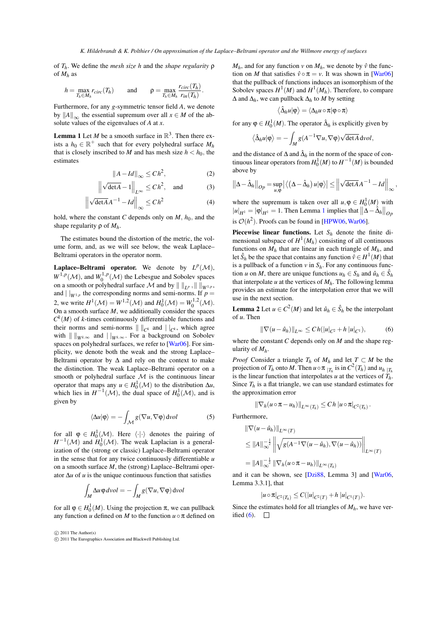<span id="page-2-4"></span>of *Th*. We define the *mesh size h* and the *shape regularity* ρ of *M<sup>h</sup>* as

$$
h = \max_{T_h \in M_h} r_{circ}(T_h) \quad \text{and} \quad \rho = \max_{T_h \in M_h} \frac{r_{circ}(T_h)}{r_{in}(T_h)}.
$$

Furthermore, for any *g*-symmetric tensor field *A*, we denote by  $||A||_{\infty}$  the essential supremum over all  $x \in M$  of the absolute values of the eigenvalues of *A* at *x*.

<span id="page-2-0"></span>**Lemma 1** Let *M* be a smooth surface in  $\mathbb{R}^3$ . Then there exists a  $h_0 \in \mathbb{R}^+$  such that for every polyhedral surface  $M_h$ that is closely inscribed to *M* and has mesh size  $h < h_0$ , the estimates

$$
||A - Id||_{\infty} \le Ch^2,
$$
 (2)

$$
\left\| \sqrt{\det A} - 1 \right\|_{L^{\infty}} \le C h^2, \text{ and } (3)
$$

$$
\left\| \sqrt{\det A} A^{-1} - I d \right\|_{\infty} \le C h^2 \tag{4}
$$

hold, where the constant *C* depends only on  $M$ ,  $h_0$ , and the shape regularity ρ of *Mh*.

The estimates bound the distortion of the metric, the volume form, and, as we will see below, the weak Laplace– Beltrami operators in the operator norm.

**Laplace–Beltrami operator.** We denote by  $L^p(\mathcal{M})$ ,  $W^{1,p}(\mathcal{M})$ , and  $W_0^{1,p}(\mathcal{M})$  the Lebesgue and Sobolev spaces on a smooth or polyhedral surface  $\mathcal M$  and by  $\| \ \|_{L^p}$ ,  $\| \ \|_{W^{1,p}}$ , and  $| \, |_{W^{1,p}}$  the corresponding norms and semi-norms. If  $p =$ 2, we write  $H^1(\mathcal{M}) = W^{1,2}(\mathcal{M})$  and  $H_0^1(\mathcal{M}) = W_0^{1,2}(\mathcal{M})$ . On a smooth surface  $M$ , we additionally consider the spaces  $C^{k}(M)$  of *k*-times continuously differentiable functions and their norms and semi-norms  $\| \cdot \|_{C^k}$  and  $||_{C^k}$ , which agree with  $\| \cdot \|_{W^{k,\infty}}$  and  $| \cdot |_{W^{k,\infty}}$ . For a background on Sobolev spaces on polyhedral surfaces, we refer to [\[War06\]](#page-7-3). For simplicity, we denote both the weak and the strong Laplace– Beltrami operator by ∆ and rely on the context to make the distinction. The weak Laplace–Beltrami operator on a smooth or polyhedral surface  $M$  is the continuous linear operator that maps any  $u \in H_0^1(\mathcal{M})$  to the distribution  $\Delta u$ , which lies in  $H^{-1}(\mathcal{M})$ , the dual space of  $H_0^1(\mathcal{M})$ , and is given by

$$
\langle \Delta u | \varphi \rangle = - \int_{\mathcal{M}} g(\nabla u, \nabla \varphi) \, \mathrm{d} \nu \, \mathrm{d} \nu \tag{5}
$$

for all  $\varphi \in H_0^1(\mathcal{M})$ . Here  $\langle \cdot | \cdot \rangle$  denotes the pairing of  $H^{-1}(\mathcal{M})$  and  $H_0^1(\mathcal{M})$ . The weak Laplacian is a generalization of the (strong or classic) Laplace–Beltrami operator in the sense that for any twice continuously differentiable *u* on a smooth surface *M*, the (strong) Laplace–Beltrami operator ∆*u* of *u* is the unique continuous function that satisfies

$$
\int_M \Delta u \,\phi \, dvol = -\int_M g(\nabla u, \nabla \phi) \, dvol
$$

for all  $\varphi \in H_0^1(M)$ . Using the projection  $\pi$ , we can pullback any function *u* defined on *M* to the function  $u \circ \pi$  defined on

 $\odot$  2011 The Author(s)

 $M_h$ , and for any function *v* on  $M_h$ , we denote by  $\hat{v}$  the function on *M* that satisfies  $\hat{v} \circ \pi = v$ . It was shown in [\[War06\]](#page-7-3) that the pullback of functions induces an isomorphism of the Sobolev spaces  $H^1(M)$  and  $H^1(M_h)$ . Therefore, to compare ∆ and ∆*h*, we can pullback ∆*<sup>h</sup>* to *M* by setting

$$
\left<\hat{\Delta}_{h}u|\phi\right>=\left<\Delta_{h}u\circ\pi|\phi\circ\pi\right>
$$

for any  $\varphi \in H_0^1(M)$ . The operator  $\hat{\Delta}_h$  is explicitly given by

$$
\left\langle \hat{\Delta}_{h}u|\phi\right\rangle =-\int_{M}g(A^{-1}\nabla u,\nabla\phi)\sqrt{\det A}\,dvol,
$$

and the distance of  $\Delta$  and  $\hat{\Delta}_h$  in the norm of the space of continuous linear operators from  $H_0^1(M)$  to  $H^{-1}(M)$  is bounded above by

$$
\left\|\Delta-\hat{\Delta}_h\right\|_{Op}=\sup_{u,\phi}\left|\left\langle\left(\Delta-\hat{\Delta}_h\right)u|\phi\right\rangle\right|\leq\left\|\sqrt{\det A}A^{-1}-Id\right\|_{\infty},
$$

<span id="page-2-3"></span>where the supremum is taken over all  $u, \varphi \in H_0^1(M)$  with  $|u|_{H^1} = |\phi|_{H^1} = 1$  $|u|_{H^1} = |\phi|_{H^1} = 1$  $|u|_{H^1} = |\phi|_{H^1} = 1$ . Then Lemma 1 implies that  $\|\Delta - \hat{\Delta}_h\|_{OP}$ is  $\mathcal{O}(h^2)$ . Proofs can be found in [\[HPW06,](#page-7-6) [War06\]](#page-7-3).

**Piecewise linear functions.** Let  $S_h$  denote the finite dimensional subspace of  $H^1(M_h)$  consisting of all continuous functions on  $M_h$  that are linear in each triangle of  $M_h$ , and let  $\hat{S}_h$  be the space that contains any function  $\hat{v} \in H^1(M)$  that is a pullback of a function  $v$  in  $S_h$ . For any continuous function *u* on *M*, there are unique functions  $u_h \in S_h$  and  $\hat{u}_h \in \hat{S}_h$ that interpolate  $u$  at the vertices of  $M_h$ . The following lemma provides an estimate for the interpolation error that we will use in the next section.

<span id="page-2-2"></span>**Lemma 2** Let  $u \in C^2(M)$  and let  $\hat{u}_h \in \hat{S}_h$  be the interpolant of *u*. Then

<span id="page-2-1"></span>
$$
\|\nabla(u - \hat{u}_h)\|_{L^{\infty}} \le Ch(|u|_{C^2} + h |u|_{C^1}),
$$
 (6)

where the constant *C* depends only on *M* and the shape regularity of *Mh*.

*Proof* Consider a triangle  $T_h$  of  $M_h$  and let  $T \subset M$  be the projection of *T<sub>h</sub>* onto *M*. Then  $u \circ \pi |_{T_h}$  is in  $C^2(T_h)$  and  $u_h |_{T_h}$ is the linear function that interpolates *u* at the vertices of  $T_h^{\uparrow}$ . Since  $T_h$  is a flat triangle, we can use standard estimates for the approximation error

$$
\|\nabla_h(u\circ\pi-u_h)\|_{L^\infty(T_h)}\leq Ch\,|u\circ\pi|_{C^2(T_h)}.
$$

Furthermore,

$$
\|\nabla(u-\hat{u}_h)\|_{L^{\infty}(T)}
$$
\n
$$
\leq \|A\|_{\infty}^{-\frac{1}{2}} \left\|\sqrt{g(A^{-1}\nabla(u-\hat{u}_h), \nabla(u-\hat{u}_h))}\right\|_{L^{\infty}(T)}
$$
\n
$$
= \|A\|_{\infty}^{-\frac{1}{2}} \|\nabla_h(u\circ\pi - u_h)\|_{L^{\infty}(T_h)}
$$

and it can be shown, see [\[Dzi88,](#page-7-5) Lemma 3] and [\[War06,](#page-7-3) Lemma 3.3.1], that

$$
|u\circ\pi|_{C^2(T_h)} \leq C(|u|_{C^2(T)} + h |u|_{C^1(T)}).
$$

Since the estimates hold for all triangles of  $M_h$ , we have verified  $(6)$ .  $\Box$ 

 $\odot$  2011 The Eurographics Association and Blackwell Publishing Ltd.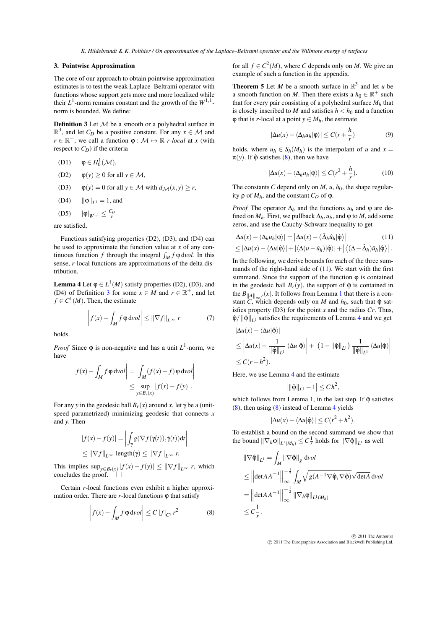### 3. Pointwise Approximation

The core of our approach to obtain pointwise approximation estimates is to test the weak Laplace–Beltrami operator with functions whose support gets more and more localized while their  $L^1$ -norm remains constant and the growth of the  $W^{1,1}$ norm is bounded. We define:

<span id="page-3-0"></span>**Definition 3** Let  $M$  be a smooth or a polyhedral surface in  $\mathbb{R}^3$ , and let *C<sub>D</sub>* be a positive constant. For any  $x \in \mathcal{M}$  and  $r \in \mathbb{R}^+$ , we call a function  $\varphi : \mathcal{M} \mapsto \mathbb{R}$  *r-local* at *x* (with respect to  $C_D$ ) if the criteria

$$
(D1) \qquad \phi \in H_0^1(\mathcal{M}),
$$

- (D2)  $\varphi(y) > 0$  for all  $y \in \mathcal{M}$ ,
- (D3)  $\varphi(y) = 0$  for all  $y \in M$  with  $d_M(x, y) \ge r$ ,
- (D4)  $\|\varphi\|_{L^1} = 1$ , and
- (D5)  $|\varphi|_{W^{1,1}} \leq \frac{C_D}{r}$

are satisfied.

Functions satisfying properties (D2), (D3), and (D4) can be used to approximate the function value at *x* of any continuous function *f* through the integral  $\int_M f \varphi \, dvol$ . In this sense, *r*-local functions are approximations of the delta distribution.

<span id="page-3-3"></span>**Lemma 4** Let  $\varphi \in L^1(M)$  satisfy properties (D2), (D3), and (D4) of Definition [3](#page-3-0) for some  $x \in M$  and  $r \in \mathbb{R}^+$ , and let  $f \in C^1(M)$ . Then, the estimate

$$
\left| f(x) - \int_M f \, \phi \, \mathrm{d}vol \right| \leq \left\| \nabla f \right\|_{L^\infty} r \tag{7}
$$

holds.

*Proof* Since  $\varphi$  is non-negative and has a unit  $L^1$ -norm, we have

$$
\left| f(x) - \int_M f \varphi \, dvol \right| = \left| \int_M (f(x) - f) \varphi \, dvol \right|
$$
  

$$
\leq \sup_{y \in B_r(x)} |f(x) - f(y)|.
$$

For any *y* in the geodesic ball  $B_r(x)$  around *x*, let  $\gamma$  be a (unitspeed parametrized) minimizing geodesic that connects *x* and *y*. Then

$$
|f(x) - f(y)| = \left| \int_{\gamma} g(\nabla f(\gamma(t)), \dot{\gamma}(t)) dt \right|
$$
  
\n
$$
\leq ||\nabla f||_{L^{\infty}} \operatorname{length}(\gamma) \leq ||\nabla f||_{L^{\infty}} r.
$$

This implies  $\sup_{y \in B_r(x)} |f(x) - f(y)| \le ||\nabla f||_{L^\infty} r$ , which concludes the proof.

Certain *r*-local functions even exhibit a higher approximation order. There are  $r$ -local functions  $\varphi$  that satisfy

$$
\left| f(x) - \int_M f \, \varphi \, \mathrm{d} \nu \, \mathrm{d} \nu \right| \leq C \, |f|_{C^2} \, r^2 \tag{8}
$$

for all  $f \in C^2(M)$ , where *C* depends only on *M*. We give an example of such a function in the appendix.

<span id="page-3-4"></span>**Theorem 5** Let *M* be a smooth surface in  $\mathbb{R}^3$  and let *u* be a smooth function on *M*. Then there exists a  $h_0 \in \mathbb{R}^+$  such that for every pair consisting of a polyhedral surface  $M_h$  that is closely inscribed to *M* and satisfies  $h < h_0$  and a function  $\varphi$  that is *r*-local at a point  $y \in M_h$ , the estimate

$$
|\Delta u(x) - \langle \Delta_h u_h | \varphi \rangle| \le C(r + \frac{h}{r})
$$
 (9)

holds, where  $u_h \in S_h(M_h)$  is the interpolant of *u* and  $x =$  $\pi(y)$ . If  $\hat{\varphi}$  satisfies [\(8\)](#page-3-1), then we have

<span id="page-3-2"></span>
$$
|\Delta u(x) - \langle \Delta_h u_h | \varphi \rangle| \le C(r^2 + \frac{h}{r}).\tag{10}
$$

The constants *C* depend only on  $M$ ,  $u$ ,  $h_0$ , the shape regularity  $ρ$  of  $M_h$ , and the constant  $C_D$  of  $φ$ .

*Proof* The operator  $\Delta_h$  and the functions  $u_h$  and  $\varphi$  are defined on  $M_h$ . First, we pullback  $\Delta_h$ ,  $u_h$ , and  $\varphi$  to  $M$ , add some zeros, and use the Cauchy-Schwarz inequality to get

$$
|\Delta u(x) - \langle \Delta_h u_h | \varphi \rangle| = |\Delta u(x) - \langle \hat{\Delta}_h \hat{u}_h | \hat{\varphi} \rangle|
$$
(11)  
\n
$$
\leq |\Delta u(x) - \langle \Delta u | \hat{\varphi} \rangle| + |\langle \Delta (u - \hat{u}_h) | \hat{\varphi} \rangle| + |\langle (\Delta - \hat{\Delta}_h) \hat{u}_h | \hat{\varphi} \rangle|.
$$

In the following, we derive bounds for each of the three sum-  
mands of the right-hand side of (11). We start with the first  
summand. Since the support of the function 
$$
\varphi
$$
 is contained  
in the geodesic ball  $B_r(y)$ , the support of  $\hat{\varphi}$  is contained in

the  $B_{\|A\|_{\infty}r}(x)$ . It follows from Lemma [1](#page-2-0) that there is a constant *C*, which depends only on *M* and  $h_0$ , such that  $\hat{\varphi}$  satisfies property (D3) for the point *x* and the radius *Cr*. Thus,  $\hat{\varphi}$  / $\|\hat{\varphi}\|_{L^1}$  satisfies the requirements of Lemma [4](#page-3-3) and we get

$$
\left|\Delta u(x) - \langle \Delta u | \hat{\phi} \rangle \right|
$$
  
\n
$$
\leq \left| \Delta u(x) - \frac{1}{\|\hat{\phi}\|_{L^1}} \langle \Delta u | \hat{\phi} \rangle \right| + \left| (1 - \|\hat{\phi}\|_{L^1}) \frac{1}{\|\hat{\phi}\|_{L^1}} \langle \Delta u | \hat{\phi} \rangle \right|
$$
  
\n
$$
\leq C(r + h^2).
$$

Here, we use Lemma [4](#page-3-3) and the estimate

$$
\left| \|\hat{\phi}\|_{L^1} - 1 \right| \le C h^2,
$$

which follows from Lemma [1,](#page-2-0) in the last step. If  $\hat{\varphi}$  satisfies [\(8\)](#page-3-1), then using [\(8\)](#page-3-1) instead of Lemma [4](#page-3-3) yields

$$
|\Delta u(x) - \langle \Delta u | \hat{\phi} \rangle| \le C(r^2 + h^2).
$$

To establish a bound on the second summand we show that the bound  $\|\nabla_h \phi\|_{L^1(M_h)} \leq C \frac{1}{r}$  holds for  $\|\nabla \hat{\phi}\|_{L^1}$  as well

<span id="page-3-1"></span>
$$
\begin{aligned} \|\nabla \hat{\varphi}\|_{L^{1}} &= \int_{M} \left\|\nabla \hat{\varphi}\right\|_{g} \, \mathrm{d}vol \\ &\leq \left\|\det A^{-1}\right\|_{\infty}^{-\frac{1}{2}} \int_{M} \sqrt{g(A^{-1}\nabla \hat{\varphi}, \nabla \hat{\varphi})} \sqrt{\det A} \, \mathrm{d}vol \\ &= \left\|\det A^{-1}\right\|_{\infty}^{-\frac{1}{2}} \left\|\nabla_{h} \varphi\right\|_{L^{1}(M_{h})} \\ &\leq C \frac{1}{r} .\end{aligned}
$$

 $\circ$  2011 The Author(s) c 2011 The Eurographics Association and Blackwell Publishing Ltd.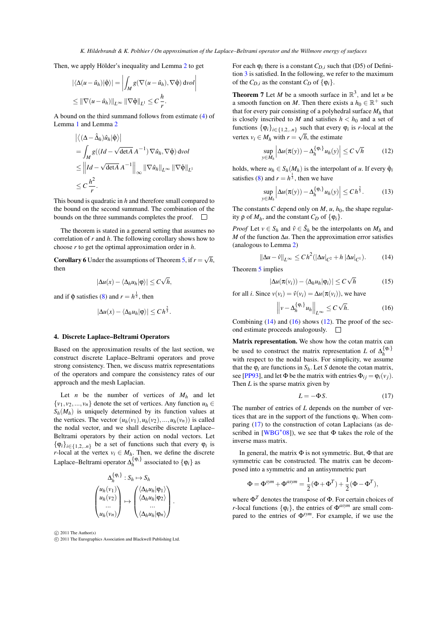$\overline{\phantom{a}}$ 1  $\overline{\phantom{a}}$  $\overline{\phantom{a}}$ 

<span id="page-4-5"></span>Then, we apply Hölder's inequality and Lemma [2](#page-2-2) to get

$$
\begin{aligned} |\langle \Delta(u - \hat{u}_h) | \hat{\varphi} \rangle| &= \left| \int_M g(\nabla(u - \hat{u}_h), \nabla \hat{\varphi}) \, \mathrm{d} \nu \, \mathrm{d} u \right| \\ &\leq \|\nabla(u - \hat{u}_h)\|_{L^\infty} \, \|\nabla \hat{\varphi}\|_{L^1} \leq C \, \frac{h}{r} .\end{aligned}
$$

A bound on the third summand follows from estimate [\(4\)](#page-2-3) of Lemma [1](#page-2-0) and Lemma [2](#page-2-2)

$$
\begin{aligned} &\left| \left\langle (\Delta - \hat{\Delta}_h) \hat{u}_h | \hat{\varphi} \right\rangle \right| \\ &= \int_M g((Id - \sqrt{\det A} A^{-1}) \nabla \hat{u}_h, \nabla \hat{\varphi}) \, \mathrm{d} \nu \, \mathrm{d} t \\ &\leq \left\| Id - \sqrt{\det A} A^{-1} \right\|_{\infty} \left\| \nabla \hat{u}_h \right\|_{L^{\infty}} \left\| \nabla \hat{\varphi} \right\|_{L^1} \\ &\leq C \frac{h^2}{r}. \end{aligned}
$$

This bound is quadratic in *h* and therefore small compared to the bound on the second summand. The combination of the bounds on the three summands completes the proof.  $\Box$ 

The theorem is stated in a general setting that assumes no correlation of *r* and *h*. The following corollary shows how to choose *r* to get the optimal approximation order in *h*.

**Corollary 6** Under the assumptions of Theorem [5,](#page-3-4) if  $r = \sqrt{h}$ , then

$$
|\Delta u(x) - \langle \Delta_h u_h | \varphi \rangle| \le C\sqrt{h},
$$

and if  $\hat{\varphi}$  satisfies [\(8\)](#page-3-1) and  $r = h^{\frac{1}{3}}$ , then

$$
|\Delta u(x)-\langle \Delta_h u_h|\phi\rangle|\leq C\,h^{\frac{2}{3}}.
$$

#### 4. Discrete Laplace–Beltrami Operators

Based on the approximation results of the last section, we construct discrete Laplace–Beltrami operators and prove strong consistency. Then, we discuss matrix representations of the operators and compare the consistency rates of our approach and the mesh Laplacian.

Let *n* be the number of vertices of  $M_h$  and let  $\{v_1, v_2, ..., v_n\}$  denote the set of vertices. Any function  $u_h \in$  $S_h(M_h)$  is uniquely determined by its function values at the vertices. The vector  $(u_h(v_1), u_h(v_2),..., u_h(v_n))$  is called the nodal vector, and we shall describe discrete Laplace– Beltrami operators by their action on nodal vectors. Let  $\{\varphi_i\}_{i \in \{1,2,..n\}}$  be a set of functions such that every  $\varphi_i$  is *r*-local at the vertex  $v_i \in M_h$ . Then, we define the discrete Laplace–Beltrami operator  $\Delta_h^{\{\varphi_i\}}$  associated to  $\{\varphi_i\}$  as

$$
\Delta_h^{\{\varphi_i\}}: S_h \mapsto S_h
$$
\n
$$
\begin{pmatrix} u_h(v_1) \\ u_h(v_2) \\ \dots \\ u_h(v_n) \end{pmatrix} \mapsto \begin{pmatrix} \langle \Delta_h u_h | \varphi_1 \rangle \\ \langle \Delta_h u_h | \varphi_2 \rangle \\ \dots \\ \langle \Delta_h u_h | \varphi_n \rangle \end{pmatrix}.
$$

 $\odot$  2011 The Author(s)

c 2011 The Eurographics Association and Blackwell Publishing Ltd.

For each  $\varphi_i$  there is a constant  $C_{D,i}$  such that (D5) of Definition [3](#page-3-0) is satisfied. In the following, we refer to the maximum of the  $C_{D,i}$  as the constant  $C_D$  of  $\{\varphi_i\}$ .

<span id="page-4-4"></span>**Theorem 7** Let *M* be a smooth surface in  $\mathbb{R}^3$ , and let *u* be a smooth function on *M*. Then there exists a  $h_0 \in \mathbb{R}^+$  such that for every pair consisting of a polyhedral surface  $M_h$  that is closely inscribed to *M* and satisfies  $h < h_0$  and a set of functions  $\{\varphi_i\}_{i \in \{1,2,..n\}}$  such that every  $\varphi_i$  is *r*-local at the vertex  $v_i \in M_h$  with  $r = \sqrt{h}$ , the estimate

<span id="page-4-2"></span>
$$
\sup_{y \in M_h} \left| \Delta u(\pi(y)) - \Delta_h^{\{\varphi_i\}} u_h(y) \right| \le C\sqrt{h} \tag{12}
$$

holds, where  $u_h \in S_h(M_h)$  is the interpolant of *u*. If every  $\hat{\varphi}_i$ satisfies [\(8\)](#page-3-1) and  $r = h^{\frac{1}{3}}$ , then we have

$$
\sup_{y \in M_h} \left| \Delta u(\pi(y)) - \Delta_h^{\{\phi_i\}} u_h(y) \right| \le C h^{\frac{2}{3}}.
$$
 (13)

The constants *C* depend only on *M*, *u*,  $h_0$ , the shape regularity  $ρ$  of  $M_h$ , and the constant  $C_D$  of  $\{\varphi_i\}$ .

*Proof* Let  $v \in S_h$  and  $\hat{v} \in \hat{S}_h$  be the interpolants on  $M_h$  and *M* of the function ∆*u*. Then the approximation error satisfies (analogous to Lemma [2\)](#page-2-2)

<span id="page-4-0"></span>
$$
\|\Delta u - \hat{v}\|_{L^{\infty}} \le C h^2 (|\Delta u|_{C^2} + h |\Delta u|_{C^1}). \tag{14}
$$

Theorem [5](#page-3-4) implies

$$
|\Delta u(\pi(v_i)) - \langle \Delta_h u_h | \varphi_i \rangle| \le C\sqrt{h}
$$
 (15)

for all *i*. Since  $v(v_i) = \hat{v}(v_i) = \Delta u(\pi(v_i))$ , we have

<span id="page-4-1"></span>
$$
\left\|v - \Delta_h^{\{\varphi_i\}} u_h\right\|_{L^\infty} \le C\sqrt{h}.\tag{16}
$$

Combining  $(14)$  and  $(16)$  shows  $(12)$ . The proof of the second estimate proceeds analogously.

Matrix representation. We show how the cotan matrix can be used to construct the matrix representation *L* of  $\Delta_h^{\{\varphi_i\}}$ with respect to the nodal basis. For simplicity, we assume that the  $\varphi_i$  are functions in  $S_h$ . Let *S* denote the cotan matrix, see [\[PP93\]](#page-7-4), and let  $\Phi$  be the matrix with entries  $\Phi_{ij} = \varphi_i(v_i)$ . Then *L* is the sparse matrix given by

<span id="page-4-3"></span>
$$
L = -\Phi S. \tag{17}
$$

The number of entries of *L* depends on the number of vertices that are in the support of the functions  $\varphi_i$ . When comparing [\(17\)](#page-4-3) to the construction of cotan Laplacians (as de-scribed in [\[WBG](#page-7-15)<sup>\*</sup>08]), we see that  $\Phi$  takes the role of the inverse mass matrix.

In general, the matrix  $\Phi$  is not symmetric. But,  $\Phi$  that are symmetric can be constructed. The matrix can be decomposed into a symmetric and an antisymmetric part

$$
\Phi = \Phi^{sym} + \Phi^{asym} = \frac{1}{2}(\Phi + \Phi^T) + \frac{1}{2}(\Phi - \Phi^T),
$$

where  $\Phi^T$  denotes the transpose of  $\Phi$ . For certain choices of *r*-local functions  $\{\varphi_i\}$ , the entries of  $\Phi^{asym}$  are small compared to the entries of Φ *sym*. For example, if we use the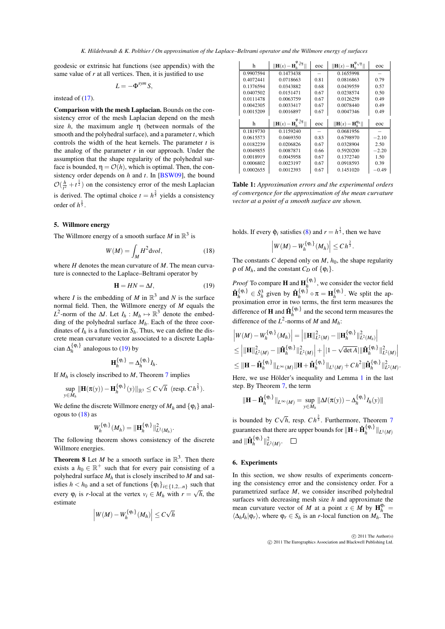<span id="page-5-3"></span>geodesic or extrinsic hat functions (see appendix) with the same value of *r* at all vertices. Then, it is justified to use

$$
L=-\Phi^{sym}S,
$$

instead of [\(17\)](#page-4-3).

Comparison with the mesh Laplacian. Bounds on the consistency error of the mesh Laplacian depend on the mesh size  $h$ , the maximum angle  $\eta$  (between normals of the smooth and the polyhedral surface), and a parameter *t*, which controls the width of the heat kernels. The parameter *t* is the analog of the parameter  $r$  in our approach. Under the assumption that the shape regularity of the polyhedral surface is bounded,  $\eta = \mathcal{O}(h)$ , which is optimal. Then, the consistency order depends on *h* and *t*. In [\[BSW09\]](#page-6-5), the bound  $\mathcal{O}(\frac{h}{t^2} + t^{\frac{1}{2}})$  on the consistency error of the mesh Laplacian is derived. The optimal choice  $t = h^{\frac{2}{5}}$  yields a consistency order of  $h^{\frac{1}{5}}$ .

# 5. Willmore energy

The Willmore energy of a smooth surface  $M$  in  $\mathbb{R}^3$  is

$$
W(M) = \int_M H^2 \text{d}vol,\tag{18}
$$

where *H* denotes the mean curvature of *M*. The mean curvature is connected to the Laplace–Beltrami operator by

$$
\mathbf{H} = HN = \Delta I,\tag{19}
$$

where *I* is the embedding of *M* in  $\mathbb{R}^3$  and *N* is the surface normal field. Then, the Willmore energy of *M* equals the  $L^2$ -norm of the  $\Delta I$ . Let  $I_h: M_h \mapsto \mathbb{R}^3$  denote the embedding of the polyhedral surface  $M_h$ . Each of the three coordinates of  $I_h$  is a function in  $S_h$ . Thus, we can define the discrete mean curvature vector associated to a discrete Laplacian  $\Delta_h^{\{\varphi_i\}}$  analogous to [\(19\)](#page-5-0) by

$$
\mathbf{H}_h^{\{\mathbf{\varphi}_i\}} = \Delta_h^{\{\mathbf{\varphi}_i\}} I_h.
$$

If  $M_h$  is closely inscribed to  $M$ , Theorem [7](#page-4-4) implies

$$
\sup_{y\in M_h} \|\mathbf{H}(\pi(y)) - \mathbf{H}_h^{\{\varphi_i\}}(y)\|_{\mathbb{R}^3} \le C\sqrt{h} \text{ (resp. } Ch^{\frac{2}{3}}).
$$

We define the discrete Willmore energy of  $M_h$  and  $\{\varphi_i\}$  analogous to  $(18)$  as

$$
W_h^{\{\varphi_i\}}(M_h) = \|\mathbf{H}_h^{\{\varphi_i\}}\|_{L^2(M_h)}^2.
$$

The following theorem shows consistency of the discrete Willmore energies.

**Theorem 8** Let *M* be a smooth surface in  $\mathbb{R}^3$ . Then there exists a  $h_0 \in \mathbb{R}^+$  such that for every pair consisting of a polyhedral surface  $M_h$  that is closely inscribed to  $M$  and satisfies *h* < *h*<sub>0</sub> and a set of functions  $\{\varphi_i\}_{i \in \{1,2,..n\}}$  such that every  $\varphi_i$  is *r*-local at the vertex  $v_i \in M_h$  with  $r = \sqrt{h}$ , the estimate

$$
\left|W(M)-W_h^{\{\mathfrak{q}_i\}}(M_h)\right|\leq C\sqrt{h}
$$

| h         | $\sqrt{\frac{\phi_{3}}{h}}$<br>$\left\  \mathbf{H}(x) - \mathbf{H}_{i} \right\ $ | eoc  | $\ \mathbf{H}(x) - \mathbf{H}_h^{\Psi \sqrt{h}}\ $ | eoc     |
|-----------|----------------------------------------------------------------------------------|------|----------------------------------------------------|---------|
| 0.9907594 | 0.1473438                                                                        |      | 0.1655998                                          |         |
| 0.4072441 | 0.0718663                                                                        | 0.81 | 0.0816863                                          | 0.79    |
| 0.1376594 | 0.0343882                                                                        | 0.68 | 0.0439559                                          | 0.57    |
| 0.0407502 | 0.0151471                                                                        | 0.67 | 0.0238574                                          | 0.50    |
| 0.0111478 | 0.0063759                                                                        | 0.67 | 0.0126259                                          | 0.49    |
| 0.0042305 | 0.0033417                                                                        | 0.67 | 0.0078440                                          | 0.49    |
| 0.0015209 | 0.0016897                                                                        | 0.67 | 0.0047346                                          | 0.49    |
|           |                                                                                  |      |                                                    |         |
|           |                                                                                  |      |                                                    |         |
| h         | $\sqrt{\frac{\phi_{3}}{h}}$<br>$\mathbf{H}(x) - \mathbf{H}_t$                    | eoc  | $\ \mathbf{H}(x) - \mathbf{H}_h^{\phi_h}\ $        | eoc     |
| 0.1819730 | 0.1159240                                                                        |      | 0.0681956                                          |         |
| 0.0615573 | 0.0469350                                                                        | 0.83 | 0.6798970                                          | $-2.10$ |
| 0.0182239 | 0.0206826                                                                        | 0.67 | 0.0328904                                          | 2.50    |
| 0.0049855 | 0.0087871                                                                        | 0.66 | 0.5920200                                          | $-2.20$ |
| 0.0018919 | 0.0045958                                                                        | 0.67 | 0.1372740                                          | 1.50    |
| 0.0006802 | 0.0023197                                                                        | 0.67 | 0.0918593                                          | 0.39    |

<span id="page-5-2"></span>Table 1: *Approximation errors and the experimental orders of convergence for the approximation of the mean curvature vector at a point of a smooth surface are shown.*

<span id="page-5-1"></span>holds. If every  $\hat{\varphi}_i$  satisfies [\(8\)](#page-3-1) and  $r = h^{\frac{1}{3}}$ , then we have

$$
\left|W(M)-W_h^{\{\varphi_i\}}(M_h)\right|\leq Ch^{\frac{2}{3}}.
$$

<span id="page-5-0"></span>The constants *C* depend only on  $M$ ,  $h_0$ , the shape regularity  $ρ$  of *M*<sub>*h*</sub>, and the constant *C<sub>D</sub>* of { $φ<sub>i</sub>$ }.

*Proof* To compare **H** and  $\mathbf{H}_h^{\{\phi_i\}}$ , we consider the vector field  $\hat{\mathbf{H}}_h^{\{\phi_i\}} \in \hat{S}_h^3$  given by  $\hat{\mathbf{H}}_h^{\{\phi_i\}} \circ \pi = \mathbf{H}_h^{\{\phi_i\}}$ . We split the approximation error in two terms, the first term measures the difference of **H** and  $\mathbf{\hat{H}}_h^{\{\varphi_i\}}$  and the second term measures the difference of the  $L^2$ -norms of *M* and  $M_h$ :

$$
\begin{aligned} &\left|W(M)-W_{h}^{\{\Phi_{i}\}}(M_{h})\right|=\left|\|\mathbf{H}\|_{L^{2}(M)}^{2}-\|\mathbf{H}_{h}^{\{\Phi_{i}\}}\|_{L^{2}(M_{h})}^{2}\right|\\ &\leq\left|\|\mathbf{H}\|_{L^{2}(M)}^{2}-\|\hat{\mathbf{H}}_{h}^{\{\Phi_{i}\}}\|_{L^{2}(M)}^{2}\right|+\left|1-\sqrt{\det A}|\|\hat{\mathbf{H}}_{h}^{\{\Phi_{i}\}}\|_{L^{2}(M)}^{2}\right|\\ &\leq\|\mathbf{H}-\hat{\mathbf{H}}_{h}^{\{\Phi_{i}\}}\|_{L^{\infty}(M)}\|\mathbf{H}+\hat{\mathbf{H}}_{h}^{\{\Phi_{i}\}}\|_{L^{1}(M)}+Ch^{2}\|\hat{\mathbf{H}}_{h}^{\{\Phi_{i}\}}\|_{L^{2}(M)}^{2}.\end{aligned}
$$

Here, we use Hölder's inequality and Lemma [1](#page-2-0) in the last step. By Theorem [7,](#page-4-4) the term

$$
\|\mathbf{H}-\hat{\mathbf{H}}_h^{\{\varphi_i\}}\|_{L^{\infty}(M)}=\sup_{y\in M_h}\|\Delta I(\pi(y))-\Delta_h^{\{\varphi_i\}}I_h(y)\|
$$

is bounded by  $C\sqrt{h}$ , resp.  $Ch^{\frac{2}{3}}$ . Furthermore, Theorem [7](#page-4-4) guarantees that there are upper bounds for  $\|\mathbf{H}+\mathbf{\hat{H}}_h^{\{\phi_i\}}\|_{L^1(M)}$ and  $\|\hat{\mathbf{H}}_h^{\{\varphi_i\}}\|_{L^2(M)}^2$ .

## 6. Experiments

In this section, we show results of experiments concerning the consistency error and the consistency order. For a parametrized surface *M*, we consider inscribed polyhedral surfaces with decreasing mesh size *h* and approximate the mean curvature vector of *M* at a point  $x \in M$  by  $\mathbf{H}^{\varphi_r}_h$  $\langle \Delta_h I_h | \varphi_r \rangle$ , where  $\varphi_r \in S_h$  is an *r*-local function on  $M_h$ . The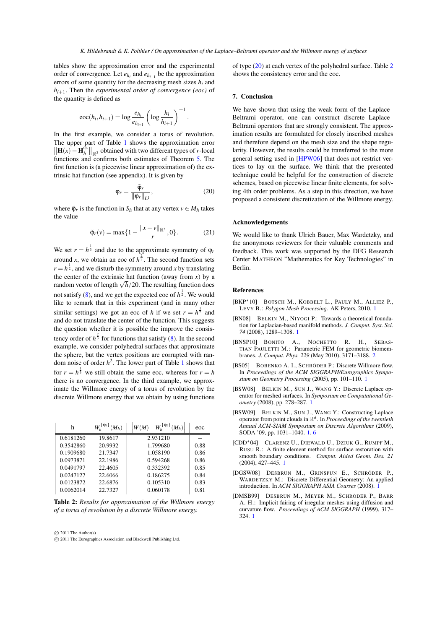<span id="page-6-11"></span>tables show the approximation error and the experimental order of convergence. Let  $e_{h_i}$  and  $e_{h_{i+1}}$  be the approximation errors of some quantity for the decreasing mesh sizes *hi* and *hi*+1. Then the *experimental order of convergence (eoc)* of the quantity is defined as

$$
\mathrm{eoc}(h_i, h_{i+1}) = \log \frac{e_{h_i}}{e_{h_{i+1}}} \left( \log \frac{h_i}{h_{i+1}} \right)^{-1}.
$$

In the first example, we consider a torus of revolution. The upper part of Table [1](#page-5-2) shows the approximation error  $\left\| \mathbf{H}(x) - \mathbf{H}_h^{\mathbf{\Phi}_r} \right\|_{\mathbb{R}^3}$  obtained with two different types of *r*-local functions and confirms both estimates of Theorem [5.](#page-3-4) The first function is (a piecewise linear approximation of) the extrinsic hat function (see appendix). It is given by

$$
\varphi_r = \frac{\tilde{\varphi}_r}{\|\tilde{\varphi}_r\|_{L^1}},\tag{20}
$$

where  $\tilde{\varphi}_r$  is the function in  $S_h$  that at any vertex  $v \in M_h$  takes the value

$$
\tilde{\varphi}_r(v) = \max\{1 - \frac{||x - v||_{\mathbb{R}^3}}{r}, 0\}.
$$
 (21)

We set  $r = h^{\frac{1}{3}}$  and due to the approximate symmetry of  $\varphi_r$ around *x*, we obtain an eoc of  $h^{\frac{2}{3}}$ . The second function sets  $r = h^{\frac{1}{2}}$ , and we disturb the symmetry around *x* by translating the center of the extrinsic hat function (away from  $x$ ) by a the center of the extrinstic flat function (away from x) by a random vector of length  $\sqrt{h}/20$ . The resulting function does not satisfy  $(8)$ , and we get the expected eoc of  $h^{\frac{1}{2}}$ . We would like to remark that in this experiment (and in many other similar settings) we got an eoc of *h* if we set  $r = h^{\frac{1}{2}}$  and and do not translate the center of the function. This suggests the question whether it is possible the improve the consistency order of  $h^{\frac{2}{3}}$  for functions that satisfy [\(8\)](#page-3-1). In the second example, we consider polyhedral surfaces that approximate the sphere, but the vertex positions are corrupted with random noise of order  $h^2$ . The lower part of Table [1](#page-5-2) shows that for  $r = h^{\frac{1}{3}}$  we still obtain the same eoc, whereas for  $r = h$ there is no convergence. In the third example, we approximate the Willmore energy of a torus of revolution by the discrete Willmore energy that we obtain by using functions

| h         | $W_{\iota}^{\{\phi_i\}}(M_h)$ | $\left W(M)-W_h^{\{\mathfrak{\varphi}_i\}}(M_h)\right $ | eoc  |
|-----------|-------------------------------|---------------------------------------------------------|------|
| 0.6181260 | 19.8617                       | 2.931210                                                |      |
| 0.3542860 | 20.9932                       | 1.799680                                                | 0.88 |
| 0.1909680 | 21.7347                       | 1.058190                                                | 0.86 |
| 0.0973871 | 22.1986                       | 0.594268                                                | 0.86 |
| 0.0491797 | 22.4605                       | 0.332392                                                | 0.85 |
| 0.0247127 | 22.6066                       | 0.186275                                                | 0.84 |
| 0.0123872 | 22.6876                       | 0.105310                                                | 0.83 |
| 0.0062014 | 22.7327                       | 0.060178                                                | 0.81 |

<span id="page-6-10"></span>Table 2: *Results for approximation of the Willmore energy of a torus of revolution by a discrete Willmore energy.*

 $\odot$  2011 The Author(s)

 $\odot$  2011 The Eurographics Association and Blackwell Publishing Ltd.

of type [\(20\)](#page-6-9) at each vertex of the polyhedral surface. Table [2](#page-6-10) shows the consistency error and the eoc.

# 7. Conclusion

We have shown that using the weak form of the Laplace– Beltrami operator, one can construct discrete Laplace– Beltrami operators that are strongly consistent. The approximation results are formulated for closely inscribed meshes and therefore depend on the mesh size and the shape regularity. However, the results could be transferred to the more general setting used in [\[HPW06\]](#page-7-6) that does not restrict vertices to lay on the surface. We think that the presented technique could be helpful for the construction of discrete schemes, based on piecewise linear finite elements, for solving 4th order problems. As a step in this direction, we have proposed a consistent discretization of the Willmore energy.

#### <span id="page-6-9"></span>Acknowledgements

We would like to thank Ulrich Bauer, Max Wardetzky, and the anonymous reviewers for their valuable comments and feedback. This work was supported by the DFG Research Center MATHEON "Mathematics for Key Technologies" in Berlin.

### References

- <span id="page-6-1"></span>[BKP∗10] BOTSCH M., KOBBELT L., PAULY M., ALLIEZ P., LEVY B.: *Polygon Mesh Processing*. AK Peters, 2010. [1](#page-0-0)
- <span id="page-6-4"></span>[BN08] BELKIN M., NIYOGI P.: Towards a theoretical foundation for Laplacian-based manifold methods. *J. Comput. Syst. Sci. 74* (2008), 1289–1308. [1](#page-0-0)
- <span id="page-6-8"></span>[BNSP10] BONITO A., NOCHETTO R. H., SEBAS-TIAN PAULETTI M.: Parametric FEM for geometric biomembranes. *J. Comput. Phys. 229* (May 2010), 3171–3188. [2](#page-1-0)
- <span id="page-6-7"></span>[BS05] BOBENKO A. I., SCHRÖDER P.: Discrete Willmore flow. In *Proceedings of the ACM SIGGRAPH/Eurographics Symposium on Geometry Processing* (2005), pp. 101–110. [1](#page-0-0)
- <span id="page-6-3"></span>[BSW08] BELKIN M., SUN J., WANG Y.: Discrete Laplace operator for meshed surfaces. In *Symposium on Computational Geometry* (2008), pp. 278–287. [1](#page-0-0)
- <span id="page-6-5"></span>[BSW09] BELKIN M., SUN J., WANG Y.: Constructing Laplace operator from point clouds in R*<sup>d</sup>* . In *Proceedings of the twentieth Annual ACM-SIAM Symposium on Discrete Algorithms* (2009), SODA '09, pp. 1031–1040. [1,](#page-0-0) [6](#page-5-3)
- <span id="page-6-6"></span>[CDD∗04] CLARENZ U., DIEWALD U., DZIUK G., RUMPF M., RUSU R.: A finite element method for surface restoration with smooth boundary conditions. *Comput. Aided Geom. Des. 21* (2004), 427–445. [1](#page-0-0)
- <span id="page-6-0"></span>[DGSW08] DESBRUN M., GRINSPUN E., SCHRÖDER P. WARDETZKY M.: Discrete Differential Geometry: An applied introduction. In *ACM SIGGRAPH ASIA Courses* (2008). [1](#page-0-0)
- <span id="page-6-2"></span>[DMSB99] DESBRUN M., MEYER M., SCHRÖDER P., BARR A. H.: Implicit fairing of irregular meshes using diffusion and curvature flow. *Proceedings of ACM SIGGRAPH* (1999), 317– 324. [1](#page-0-0)